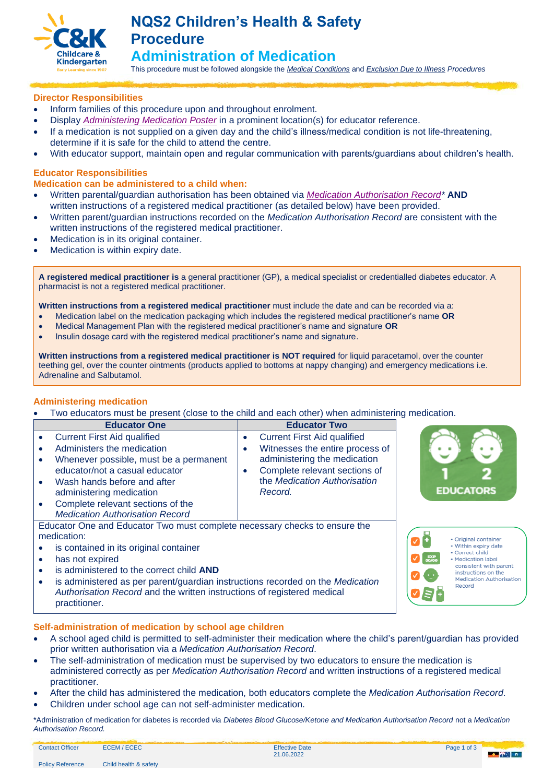

# **NQS2 Children's Health & Safety Procedure Administration of Medication**

This procedure must be followed alongside the *[Medical Conditions](https://crecheandkindergarten.sharepoint.com/:b:/r/policies/Documents/Medical%20Conditions%20Procedure.pdf?csf=1&web=1&e=VQ9Iuw)* and *[Exclusion Due to Illness](https://crecheandkindergarten.sharepoint.com/:b:/r/policies/Documents/Exclusion%20due%20to%20illness%20Procedure.pdf?csf=1&web=1&e=QQhkNA) Procedures* 

## **Director Responsibilities**

- Inform families of this procedure upon and throughout enrolment.
- Display *[Administering Medication Poster](https://crecheandkindergarten.sharepoint.com/policies/Documents/Administering%20medication.pdf)* in a prominent location(s) for educator reference.
- If a medication is not supplied on a given day and the child's illness/medical condition is not life-threatening, determine if it is safe for the child to attend the centre.
- With educator support, maintain open and regular communication with parents/guardians about children's health.

### **Educator Responsibilities**

## **Medication can be administered to a child when:**

- Written parental/guardian authorisation has been obtained via *[Medication Authorisation Record\\*](https://crecheandkindergarten.sharepoint.com/policies/Documents/Medication%20Authorisation%20Record%20Form.pdf)* **AND** written instructions of a registered medical practitioner (as detailed below) have been provided.
- Written parent/guardian instructions recorded on the *Medication Authorisation Record* are consistent with the written instructions of the registered medical practitioner.
- Medication is in its original container.
- Medication is within expiry date.

**A registered medical practitioner is** a general practitioner (GP), a medical specialist or credentialled diabetes educator. A pharmacist is not a registered medical practitioner.

**Written instructions from a registered medical practitioner** must include the date and can be recorded via a:

- Medication label on the medication packaging which includes the registered medical practitioner's name **OR**
- Medical Management Plan with the registered medical practitioner's name and signature **OR**
- Insulin dosage card with the registered medical practitioner's name and signature.

**Written instructions from a registered medical practitioner is NOT required** for liquid paracetamol, over the counter teething gel, over the counter ointments (products applied to bottoms at nappy changing) and emergency medications i.e. Adrenaline and Salbutamol.

### **Administering medication**

• Two educators must be present (close to the child and each other) when administering medication.

| <b>Educator One</b>                                                        | <b>Educator Two</b>                          |                                               |
|----------------------------------------------------------------------------|----------------------------------------------|-----------------------------------------------|
| <b>Current First Aid qualified</b><br>$\bullet$                            | <b>Current First Aid qualified</b>           |                                               |
| Administers the medication                                                 | Witnesses the entire process of<br>$\bullet$ |                                               |
| Whenever possible, must be a permanent                                     | administering the medication                 |                                               |
| educator/not a casual educator                                             | Complete relevant sections of<br>$\bullet$   |                                               |
| Wash hands before and after<br>$\bullet$                                   | the Medication Authorisation                 |                                               |
| administering medication                                                   | Record.                                      | <b>EDUCATORS</b>                              |
| Complete relevant sections of the                                          |                                              |                                               |
| <b>Medication Authorisation Record</b>                                     |                                              |                                               |
| Educator One and Educator Two must complete necessary checks to ensure the |                                              |                                               |
| medication:                                                                |                                              | • Original container                          |
| is contained in its original container                                     |                                              | • Within expiry date<br>• Correct child       |
| has not expired                                                            |                                              | • Medication label                            |
| is administered to the correct child AND                                   |                                              | consistent with parent<br>instructions on the |
|                                                                            | .                                            | Madication Authorication                      |

• is administered as per parent/guardian instructions recorded on the *Medication Authorisation Record* and the written instructions of registered medical practitioner.

### **Self-administration of medication by school age children**

- A school aged child is permitted to self-administer their medication where the child's parent/guardian has provided prior written authorisation via a *Medication Authorisation Record*.
- The self-administration of medication must be supervised by two educators to ensure the medication is administered correctly as per *Medication Authorisation Record* and written instructions of a registered medical practitioner.
- After the child has administered the medication, both educators complete the *Medication Authorisation Record*.
- Children under school age can not self-administer medication.

\*Administration of medication for diabetes is recorded via *Diabetes Blood Glucose/Ketone and Medication Authorisation Record* not a *Medication Authorisation Record.*

Contact Officer ECEM / ECEC Effective Date



Record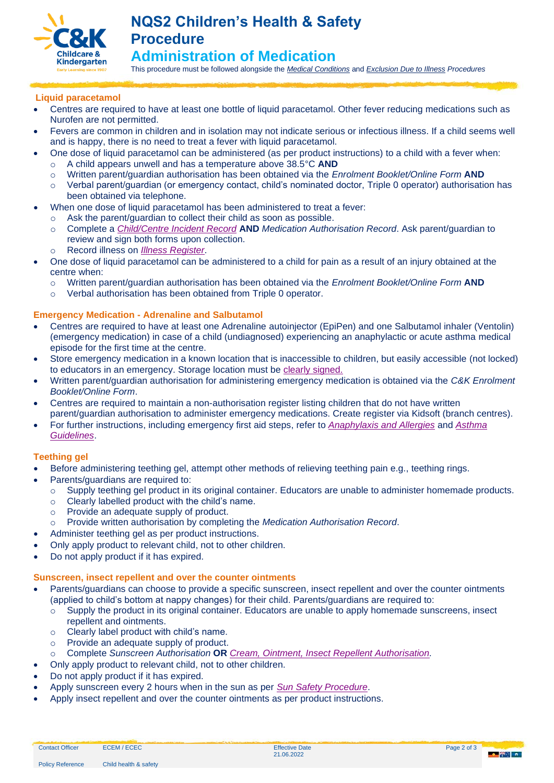

This procedure must be followed alongside the *[Medical Conditions](https://crecheandkindergarten.sharepoint.com/:b:/r/policies/Documents/Medical%20Conditions%20Procedure.pdf?csf=1&web=1&e=VQ9Iuw)* and *[Exclusion Due to Illness](https://crecheandkindergarten.sharepoint.com/:b:/r/policies/Documents/Exclusion%20due%20to%20illness%20Procedure.pdf?csf=1&web=1&e=QQhkNA) Procedures* 

# **Liquid paracetamol**

- Centres are required to have at least one bottle of liquid paracetamol. Other fever reducing medications such as Nurofen are not permitted.
- Fevers are common in children and in isolation may not indicate serious or infectious illness. If a child seems well and is happy, there is no need to treat a fever with liquid paracetamol.
	- One dose of liquid paracetamol can be administered (as per product instructions) to a child with a fever when:
		- o A child appears unwell and has a temperature above 38.5°C **AND**
		- o Written parent/guardian authorisation has been obtained via the *Enrolment Booklet/Online Form* **AND**
		- o Verbal parent/guardian (or emergency contact, child's nominated doctor, Triple 0 operator) authorisation has been obtained via telephone.
- When one dose of liquid paracetamol has been administered to treat a fever:
	- o Ask the parent/guardian to collect their child as soon as possible.
	- o Complete a *[Child/Centre Incident Record](https://crecheandkindergarten.sharepoint.com/policies/Documents/Child,%20Centre%20Incident%20Record%20Form.pdf)* **AND** *Medication Authorisation Record*. Ask parent/guardian to review and sign both forms upon collection.
	- o Record illness on *[Illness Register](https://crecheandkindergarten.sharepoint.com/policies/Documents/Infectious%20illness%20register%20Form.pdf)*.
- One dose of liquid paracetamol can be administered to a child for pain as a result of an injury obtained at the centre when:
	- o Written parent/guardian authorisation has been obtained via the *Enrolment Booklet/Online Form* **AND**
	- o Verbal authorisation has been obtained from Triple 0 operator.

## **Emergency Medication - Adrenaline and Salbutamol**

- Centres are required to have at least one Adrenaline autoinjector (EpiPen) and one Salbutamol inhaler (Ventolin) (emergency medication) in case of a child (undiagnosed) experiencing an anaphylactic or acute asthma medical episode for the first time at the centre.
- Store emergency medication in a known location that is inaccessible to children, but easily accessible (not locked) to educators in an emergency. Storage location must be [clearly signed.](https://crecheandkindergarten.sharepoint.com/services/nqf/NQFtoolsresources/Service%20management/Service%20displays/Signs%20and%20displays/EpiPen%20and%20Asthma%20medication%20signs.pdf)
- Written parent/guardian authorisation for administering emergency medication is obtained via the *C&K Enrolment Booklet/Online Form*.
- Centres are required to maintain a non-authorisation register listing children that do not have written parent/guardian authorisation to administer emergency medications. Create register via Kidsoft (branch centres).
- For further instructions, including emergency first aid steps, refer to *[Anaphylaxis and Allergies](https://crecheandkindergarten.sharepoint.com/policies/Documents/Anaphylaxis%20and%20allergies%20Guide.pdf)* and *[Asthma](https://crecheandkindergarten.sharepoint.com/policies/Documents/Asthma%20Guide.pdf)  [Guidelines](https://crecheandkindergarten.sharepoint.com/policies/Documents/Asthma%20Guide.pdf)*.

# **Teething gel**

- Before administering teething gel, attempt other methods of relieving teething pain e.g., teething rings.
	- Parents/guardians are required to:
		- $\circ$  Supply teething gel product in its original container. Educators are unable to administer homemade products.
		- o Clearly labelled product with the child's name.
		- o Provide an adequate supply of product.
	- o Provide written authorisation by completing the *Medication Authorisation Record*.
	- Administer teething gel as per product instructions.
- Only apply product to relevant child, not to other children.
- Do not apply product if it has expired.

# **Sunscreen, insect repellent and over the counter ointments**

- Parents/guardians can choose to provide a specific sunscreen, insect repellent and over the counter ointments (applied to child's bottom at nappy changes) for their child. Parents/guardians are required to:
	- $\circ$  Supply the product in its original container. Educators are unable to apply homemade sunscreens, insect repellent and ointments.
		- o Clearly label product with child's name.
		- o Provide an adequate supply of product.
	- o Complete *Sunscreen Authorisation* **OR** *[Cream, Ointment, Insect Repellent Authorisation.](https://crecheandkindergarten.sharepoint.com/policies/Documents/Cream,%20ointment,%20insect%20repellent%20authorisation%20Form.pdf)*
- Only apply product to relevant child, not to other children.
- Do not apply product if it has expired.
- Apply sunscreen every 2 hours when in the sun as per *[Sun Safety Procedure](https://crecheandkindergarten.sharepoint.com/policies/Documents/Sun%20safety%20Procedure.pdf)*.
- Apply insect repellent and over the counter ointments as per product instructions.